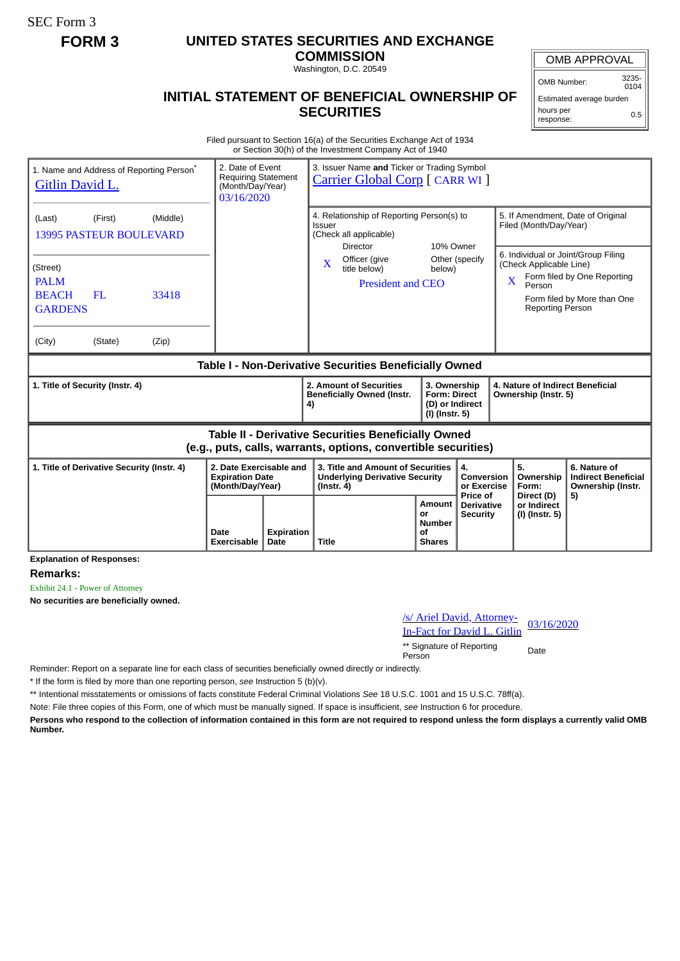SEC Form 3

## **FORM 3 UNITED STATES SECURITIES AND EXCHANGE**

**COMMISSION** Washington, D.C. 20549

OMB APPROVAL

OMB Number: 3235-  $0104$ 

Estimated average burden hours per response: 0.5

## **INITIAL STATEMENT OF BENEFICIAL OWNERSHIP OF SECURITIES**

Filed pursuant to Section 16(a) of the Securities Exchange Act of 1934 or Section 30(h) of the Investment Company Act of 1940

| 1. Name and Address of Reporting Person <sup>®</sup><br><b>Gitlin David L.</b>                                               | 2. Date of Event<br><b>Requiring Statement</b><br>(Month/Day/Year)<br>03/16/2020 |  | 3. Issuer Name and Ticker or Trading Symbol<br><b>Carrier Global Corp</b> [ CARR WI ]                         |                          |                                                                                                                                        |                                                                                                                                                                        |                                        |                                            |  |
|------------------------------------------------------------------------------------------------------------------------------|----------------------------------------------------------------------------------|--|---------------------------------------------------------------------------------------------------------------|--------------------------|----------------------------------------------------------------------------------------------------------------------------------------|------------------------------------------------------------------------------------------------------------------------------------------------------------------------|----------------------------------------|--------------------------------------------|--|
| (First)<br>(Middle)<br>(Last)<br><b>13995 PASTEUR BOULEVARD</b>                                                              |                                                                                  |  | 4. Relationship of Reporting Person(s) to<br>Issuer<br>(Check all applicable)<br>10% Owner<br><b>Director</b> |                          |                                                                                                                                        | 5. If Amendment, Date of Original<br>Filed (Month/Day/Year)                                                                                                            |                                        |                                            |  |
| (Street)<br><b>PALM</b><br><b>BEACH</b><br>FL<br>33418<br><b>GARDENS</b><br>(City)<br>(State)<br>(Zip)                       |                                                                                  |  | Officer (give<br>$\overline{\mathbf{X}}$<br>title below)<br><b>President and CEO</b>                          | Other (specify<br>below) |                                                                                                                                        | 6. Individual or Joint/Group Filing<br>(Check Applicable Line)<br>Form filed by One Reporting<br>X<br>Person<br>Form filed by More than One<br><b>Reporting Person</b> |                                        |                                            |  |
| Table I - Non-Derivative Securities Beneficially Owned                                                                       |                                                                                  |  |                                                                                                               |                          |                                                                                                                                        |                                                                                                                                                                        |                                        |                                            |  |
| 1. Title of Security (Instr. 4)                                                                                              |                                                                                  |  | 2. Amount of Securities<br><b>Beneficially Owned (Instr.</b><br>4)                                            |                          | 4. Nature of Indirect Beneficial<br>3. Ownership<br><b>Form: Direct</b><br>Ownership (Instr. 5)<br>(D) or Indirect<br>$(I)$ (Instr. 5) |                                                                                                                                                                        |                                        |                                            |  |
| <b>Table II - Derivative Securities Beneficially Owned</b><br>(e.g., puts, calls, warrants, options, convertible securities) |                                                                                  |  |                                                                                                               |                          |                                                                                                                                        |                                                                                                                                                                        |                                        |                                            |  |
| 1. Title of Derivative Security (Instr. 4)                                                                                   | 2. Date Exercisable and<br><b>Expiration Date</b><br>(Month/Day/Year)            |  | 3. Title and Amount of Securities<br><b>Underlying Derivative Security</b><br>$($ lnstr. 4 $)$                |                          | 4.<br>Conversion                                                                                                                       |                                                                                                                                                                        | 5.<br>Ownership<br>Form:<br>Direct (D) | 6. Nature of<br><b>Indirect Beneficial</b> |  |
|                                                                                                                              |                                                                                  |  |                                                                                                               |                          | or Exercise<br>Price of                                                                                                                |                                                                                                                                                                        |                                        | Ownership (Instr.<br>5)                    |  |

**Explanation of Responses:**

**Remarks:**

Exhibit 24.1 - Power of Attorney

**No securities are beneficially owned.**

| /s/ Ariel David, Attorney-<br>03/16/2020<br><b>In-Fact for David L. Gitlin</b> |             |
|--------------------------------------------------------------------------------|-------------|
| ** Signature of Reporting<br>Person                                            | <b>Date</b> |

Reminder: Report on a separate line for each class of securities beneficially owned directly or indirectly.

\* If the form is filed by more than one reporting person, *see* Instruction 5 (b)(v).

\*\* Intentional misstatements or omissions of facts constitute Federal Criminal Violations *See* 18 U.S.C. 1001 and 15 U.S.C. 78ff(a).

Note: File three copies of this Form, one of which must be manually signed. If space is insufficient, *see* Instruction 6 for procedure.

**Persons who respond to the collection of information contained in this form are not required to respond unless the form displays a currently valid OMB Number.**